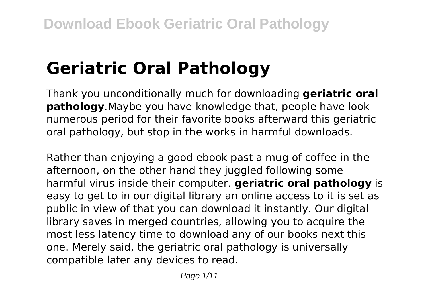# **Geriatric Oral Pathology**

Thank you unconditionally much for downloading **geriatric oral pathology**.Maybe you have knowledge that, people have look numerous period for their favorite books afterward this geriatric oral pathology, but stop in the works in harmful downloads.

Rather than enjoying a good ebook past a mug of coffee in the afternoon, on the other hand they juggled following some harmful virus inside their computer. **geriatric oral pathology** is easy to get to in our digital library an online access to it is set as public in view of that you can download it instantly. Our digital library saves in merged countries, allowing you to acquire the most less latency time to download any of our books next this one. Merely said, the geriatric oral pathology is universally compatible later any devices to read.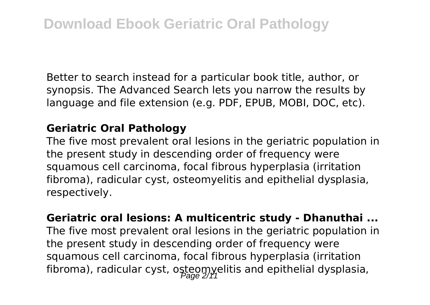Better to search instead for a particular book title, author, or synopsis. The Advanced Search lets you narrow the results by language and file extension (e.g. PDF, EPUB, MOBI, DOC, etc).

#### **Geriatric Oral Pathology**

The five most prevalent oral lesions in the geriatric population in the present study in descending order of frequency were squamous cell carcinoma, focal fibrous hyperplasia (irritation fibroma), radicular cyst, osteomyelitis and epithelial dysplasia, respectively.

**Geriatric oral lesions: A multicentric study - Dhanuthai ...** The five most prevalent oral lesions in the geriatric population in the present study in descending order of frequency were squamous cell carcinoma, focal fibrous hyperplasia (irritation fibroma), radicular cyst, osteomyelitis and epithelial dysplasia,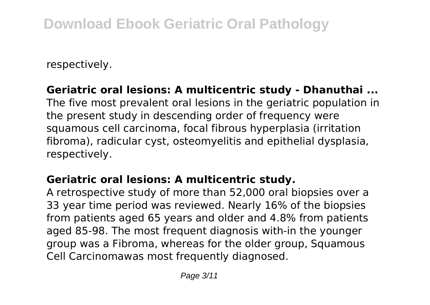respectively.

## **Geriatric oral lesions: A multicentric study - Dhanuthai ...**

The five most prevalent oral lesions in the geriatric population in the present study in descending order of frequency were squamous cell carcinoma, focal fibrous hyperplasia (irritation fibroma), radicular cyst, osteomyelitis and epithelial dysplasia, respectively.

#### **Geriatric oral lesions: A multicentric study.**

A retrospective study of more than 52,000 oral biopsies over a 33 year time period was reviewed. Nearly 16% of the biopsies from patients aged 65 years and older and 4.8% from patients aged 85-98. The most frequent diagnosis with-in the younger group was a Fibroma, whereas for the older group, Squamous Cell Carcinomawas most frequently diagnosed.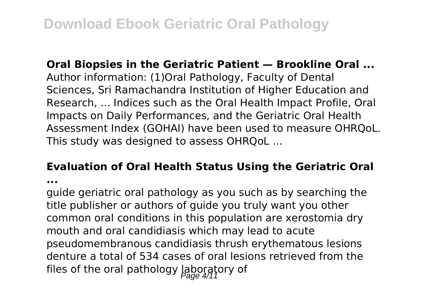#### **Oral Biopsies in the Geriatric Patient — Brookline Oral ...**

Author information: (1)Oral Pathology, Faculty of Dental Sciences, Sri Ramachandra Institution of Higher Education and Research, ... Indices such as the Oral Health Impact Profile, Oral Impacts on Daily Performances, and the Geriatric Oral Health Assessment Index (GOHAI) have been used to measure OHRQoL. This study was designed to assess OHRQoL ...

#### **Evaluation of Oral Health Status Using the Geriatric Oral**

**...**

guide geriatric oral pathology as you such as by searching the title publisher or authors of guide you truly want you other common oral conditions in this population are xerostomia dry mouth and oral candidiasis which may lead to acute pseudomembranous candidiasis thrush erythematous lesions denture a total of 534 cases of oral lesions retrieved from the files of the oral pathology laboratory of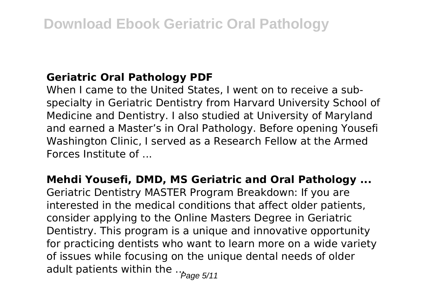#### **Geriatric Oral Pathology PDF**

When I came to the United States, I went on to receive a subspecialty in Geriatric Dentistry from Harvard University School of Medicine and Dentistry. I also studied at University of Maryland and earned a Master's in Oral Pathology. Before opening Yousefi Washington Clinic, I served as a Research Fellow at the Armed Forces Institute of ...

**Mehdi Yousefi, DMD, MS Geriatric and Oral Pathology ...** Geriatric Dentistry MASTER Program Breakdown: If you are interested in the medical conditions that affect older patients, consider applying to the Online Masters Degree in Geriatric Dentistry. This program is a unique and innovative opportunity for practicing dentists who want to learn more on a wide variety of issues while focusing on the unique dental needs of older adult patients within the  $\frac{1}{2}$   $\frac{1}{2}$   $\frac{1}{2}$   $\frac{1}{2}$   $\frac{1}{2}$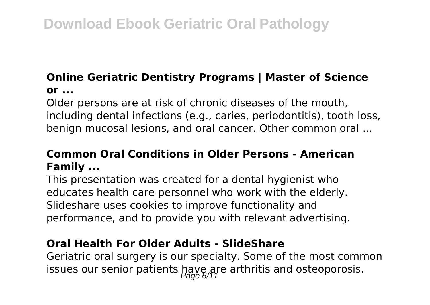# **Online Geriatric Dentistry Programs | Master of Science or ...**

Older persons are at risk of chronic diseases of the mouth, including dental infections (e.g., caries, periodontitis), tooth loss, benign mucosal lesions, and oral cancer. Other common oral ...

# **Common Oral Conditions in Older Persons - American Family ...**

This presentation was created for a dental hygienist who educates health care personnel who work with the elderly. Slideshare uses cookies to improve functionality and performance, and to provide you with relevant advertising.

#### **Oral Health For Older Adults - SlideShare**

Geriatric oral surgery is our specialty. Some of the most common issues our senior patients  $\frac{page}{page}$  arthritis and osteoporosis.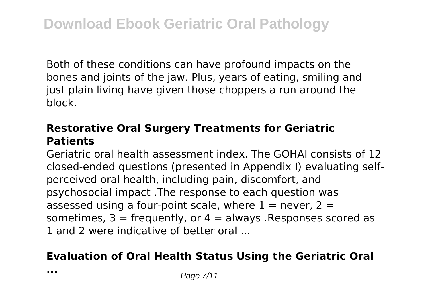Both of these conditions can have profound impacts on the bones and joints of the jaw. Plus, years of eating, smiling and just plain living have given those choppers a run around the block.

## **Restorative Oral Surgery Treatments for Geriatric Patients**

Geriatric oral health assessment index. The GOHAI consists of 12 closed-ended questions (presented in Appendix I) evaluating selfperceived oral health, including pain, discomfort, and psychosocial impact .The response to each question was assessed using a four-point scale, where  $1 =$  never,  $2 =$ sometimes,  $3 =$  frequently, or  $4 =$  always . Responses scored as 1 and 2 were indicative of better oral

#### **Evaluation of Oral Health Status Using the Geriatric Oral**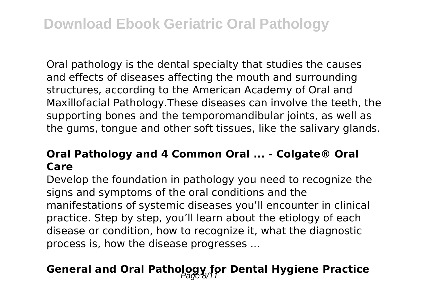Oral pathology is the dental specialty that studies the causes and effects of diseases affecting the mouth and surrounding structures, according to the American Academy of Oral and Maxillofacial Pathology.These diseases can involve the teeth, the supporting bones and the temporomandibular joints, as well as the gums, tongue and other soft tissues, like the salivary glands.

## **Oral Pathology and 4 Common Oral ... - Colgate® Oral Care**

Develop the foundation in pathology you need to recognize the signs and symptoms of the oral conditions and the manifestations of systemic diseases you'll encounter in clinical practice. Step by step, you'll learn about the etiology of each disease or condition, how to recognize it, what the diagnostic process is, how the disease progresses ...

# General and Oral Pathology for Dental Hygiene Practice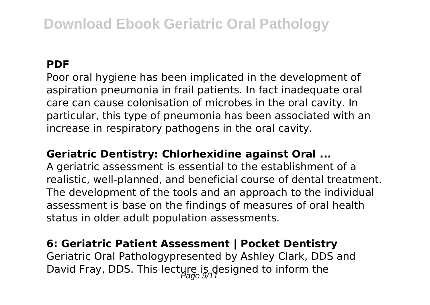# **Download Ebook Geriatric Oral Pathology**

#### **PDF**

Poor oral hygiene has been implicated in the development of aspiration pneumonia in frail patients. In fact inadequate oral care can cause colonisation of microbes in the oral cavity. In particular, this type of pneumonia has been associated with an increase in respiratory pathogens in the oral cavity.

#### **Geriatric Dentistry: Chlorhexidine against Oral ...**

A geriatric assessment is essential to the establishment of a realistic, well-planned, and beneficial course of dental treatment. The development of the tools and an approach to the individual assessment is base on the findings of measures of oral health status in older adult population assessments.

#### **6: Geriatric Patient Assessment | Pocket Dentistry**

Geriatric Oral Pathologypresented by Ashley Clark, DDS and David Fray, DDS. This lecture is designed to inform the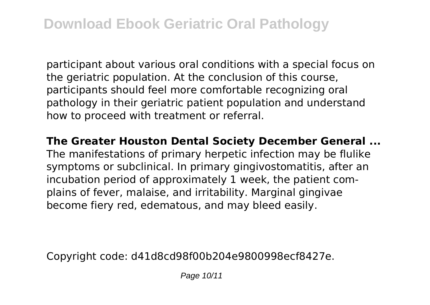participant about various oral conditions with a special focus on the geriatric population. At the conclusion of this course, participants should feel more comfortable recognizing oral pathology in their geriatric patient population and understand how to proceed with treatment or referral.

**The Greater Houston Dental Society December General ...** The manifestations of primary herpetic infection may be flulike symptoms or subclinical. In primary gingivostomatitis, after an incubation period of approximately 1 week, the patient complains of fever, malaise, and irritability. Marginal gingivae become fiery red, edematous, and may bleed easily.

Copyright code: d41d8cd98f00b204e9800998ecf8427e.

Page 10/11